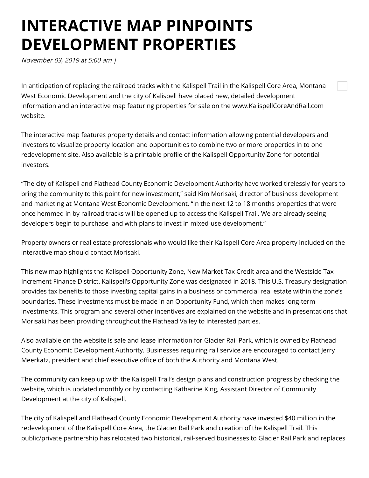## **INTERACTIVE MAP PINPOINTS DEVELOPMENT PROPERTIES**

November 03, 2019 at 5:00 am |

In anticipation of replacing the railroad tracks with the Kalispell Trail in the Kalispell Core Area, Montana West Economic Development and the city of Kalispell have placed new, detailed development information and an interactive map featuring properties for sale on the www.KalispellCoreAndRail.com website.

The interactive map features property details and contact information allowing potential developers and investors to visualize property location and opportunities to combine two or more properties in to one redevelopment site. Also available is a printable profile of the Kalispell Opportunity Zone for potential investors.

"The city of Kalispell and Flathead County Economic Development Authority have worked tirelessly for years to bring the community to this point for new investment," said Kim Morisaki, director of business development and marketing at Montana West Economic Development. "In the next 12 to 18 months properties that were once hemmed in by railroad tracks will be opened up to access the Kalispell Trail. We are already seeing developers begin to purchase land with plans to invest in mixed-use development."

Property owners or real estate professionals who would like their Kalispell Core Area property included on the interactive map should contact Morisaki.

This new map highlights the Kalispell Opportunity Zone, New Market Tax Credit area and the Westside Tax Increment Finance District. Kalispell's Opportunity Zone was designated in 2018. This U.S. Treasury designation provides tax benefits to those investing capital gains in a business or commercial real estate within the zone's boundaries. These investments must be made in an Opportunity Fund, which then makes long-term investments. This program and several other incentives are explained on the website and in presentations that Morisaki has been providing throughout the Flathead Valley to interested parties.

Also available on the website is sale and lease information for Glacier Rail Park, which is owned by Flathead County Economic Development Authority. Businesses requiring rail service are encouraged to contact Jerry Meerkatz, president and chief executive office of both the Authority and Montana West.

The community can keep up with the Kalispell Trail's design plans and construction progress by checking the website, which is updated monthly or by contacting Katharine King, Assistant Director of Community Development at the city of Kalispell.

The city of Kalispell and Flathead County Economic Development Authority have invested \$40 million in the redevelopment of the Kalispell Core Area, the Glacier Rail Park and creation of the Kalispell Trail. This public/private partnership has relocated two historical, rail-served businesses to Glacier Rail Park and replaces